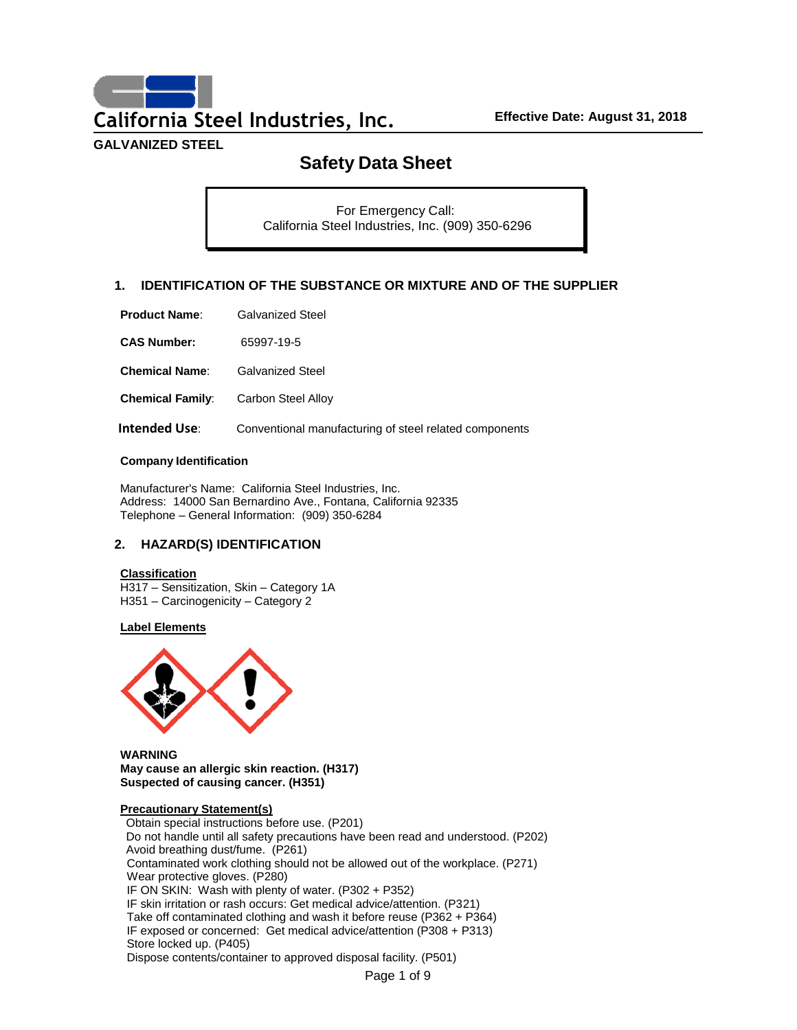**California Steel Industries, Inc. Effective Date: August 31, 2018**

**GALVANIZED STEEL**

# **Safety Data Sheet**

For Emergency Call: California Steel Industries, Inc. (909) 350-6296

# **1. IDENTIFICATION OF THE SUBSTANCE OR MIXTURE AND OF THE SUPPLIER**

| <b>Product Name:</b> | <b>Galvanized Steel</b> |
|----------------------|-------------------------|
|----------------------|-------------------------|

**CAS Number:** 65997-19-5

**Chemical Name**: Galvanized Steel

**Chemical Family:** Carbon Steel Alloy

**Intended Use:** Conventional manufacturing of steel related components

### **Company Identification**

Manufacturer's Name: California Steel Industries, Inc. Address: 14000 San Bernardino Ave., Fontana, California 92335 Telephone – General Information: (909) 350-6284

# **2. HAZARD(S) IDENTIFICATION**

### **Classification**

H317 – Sensitization, Skin – Category 1A H351 – Carcinogenicity – Category 2

### **Label Elements**



**WARNING May cause an allergic skin reaction. (H317) Suspected of causing cancer. (H351)**

### **Precautionary Statement(s)**

Obtain special instructions before use. (P201) Do not handle until all safety precautions have been read and understood. (P202) Avoid breathing dust/fume. (P261) Contaminated work clothing should not be allowed out of the workplace. (P271) Wear protective gloves. (P280) IF ON SKIN: Wash with plenty of water. (P302 + P352) IF skin irritation or rash occurs: Get medical advice/attention. (P321) Take off contaminated clothing and wash it before reuse (P362 + P364) IF exposed or concerned: Get medical advice/attention (P308 + P313) Store locked up. (P405) Dispose contents/container to approved disposal facility. (P501)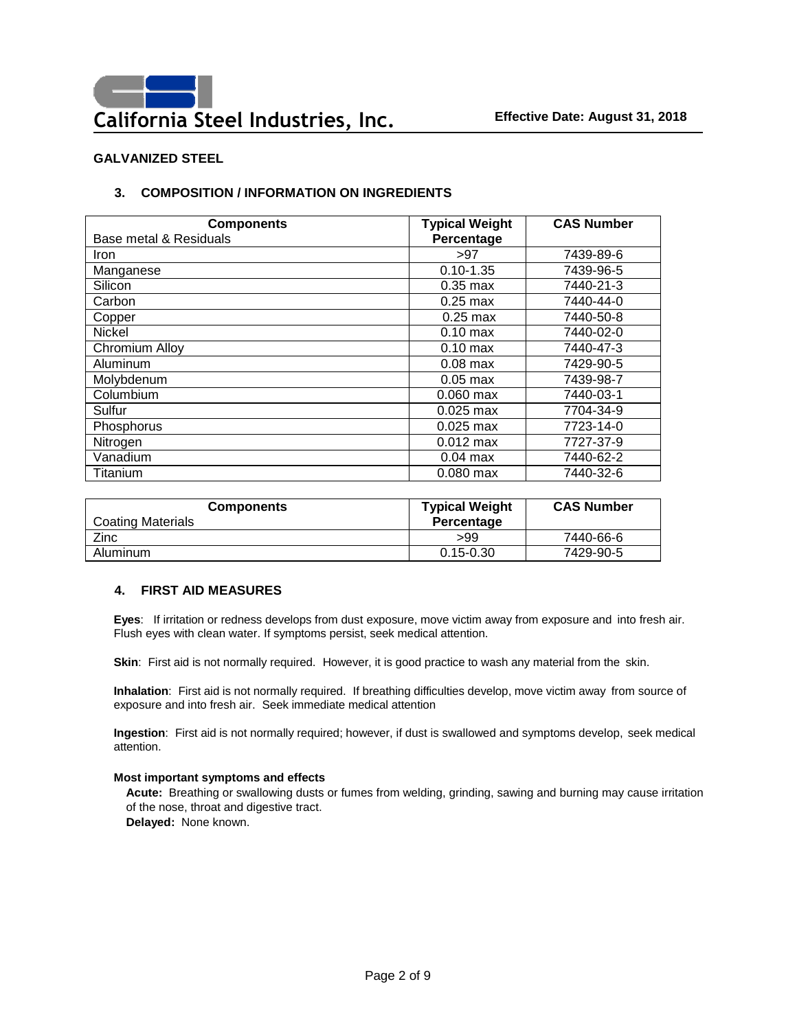# **3. COMPOSITION / INFORMATION ON INGREDIENTS**

| <b>Components</b>      | <b>Typical Weight</b> | <b>CAS Number</b> |
|------------------------|-----------------------|-------------------|
| Base metal & Residuals | Percentage            |                   |
| <b>Iron</b>            | >97                   | 7439-89-6         |
| Manganese              | $0.10 - 1.35$         | 7439-96-5         |
| Silicon                | $0.35$ max            | 7440-21-3         |
| Carbon                 | $0.25$ max            | 7440-44-0         |
| Copper                 | $0.25$ max            | 7440-50-8         |
| <b>Nickel</b>          | $0.10 \text{ max}$    | 7440-02-0         |
| Chromium Alloy         | $0.10 \text{ max}$    | 7440-47-3         |
| Aluminum               | $0.08$ max            | 7429-90-5         |
| Molybdenum             | $0.05$ max            | 7439-98-7         |
| Columbium              | $0.060$ max           | 7440-03-1         |
| Sulfur                 | $0.025$ max           | 7704-34-9         |
| Phosphorus             | $0.025$ max           | 7723-14-0         |
| Nitrogen               | $0.012$ max           | 7727-37-9         |
| Vanadium               | $0.04$ max            | 7440-62-2         |
| Titanium               | $0.080$ max           | 7440-32-6         |

| <b>Components</b>        | <b>Typical Weight</b> | <b>CAS Number</b> |
|--------------------------|-----------------------|-------------------|
| <b>Coating Materials</b> | Percentage            |                   |
| Zinc                     | >99                   | 7440-66-6         |
| Aluminum                 | $0.15 - 0.30$         | 7429-90-5         |

### **4. FIRST AID MEASURES**

**Eyes**: If irritation or redness develops from dust exposure, move victim away from exposure and into fresh air. Flush eyes with clean water. If symptoms persist, seek medical attention.

**Skin**: First aid is not normally required. However, it is good practice to wash any material from the skin.

**Inhalation**: First aid is not normally required. If breathing difficulties develop, move victim away from source of exposure and into fresh air. Seek immediate medical attention

**Ingestion**: First aid is not normally required; however, if dust is swallowed and symptoms develop, seek medical attention.

### **Most important symptoms and effects**

**Acute:** Breathing or swallowing dusts or fumes from welding, grinding, sawing and burning may cause irritation of the nose, throat and digestive tract. **Delayed:** None known.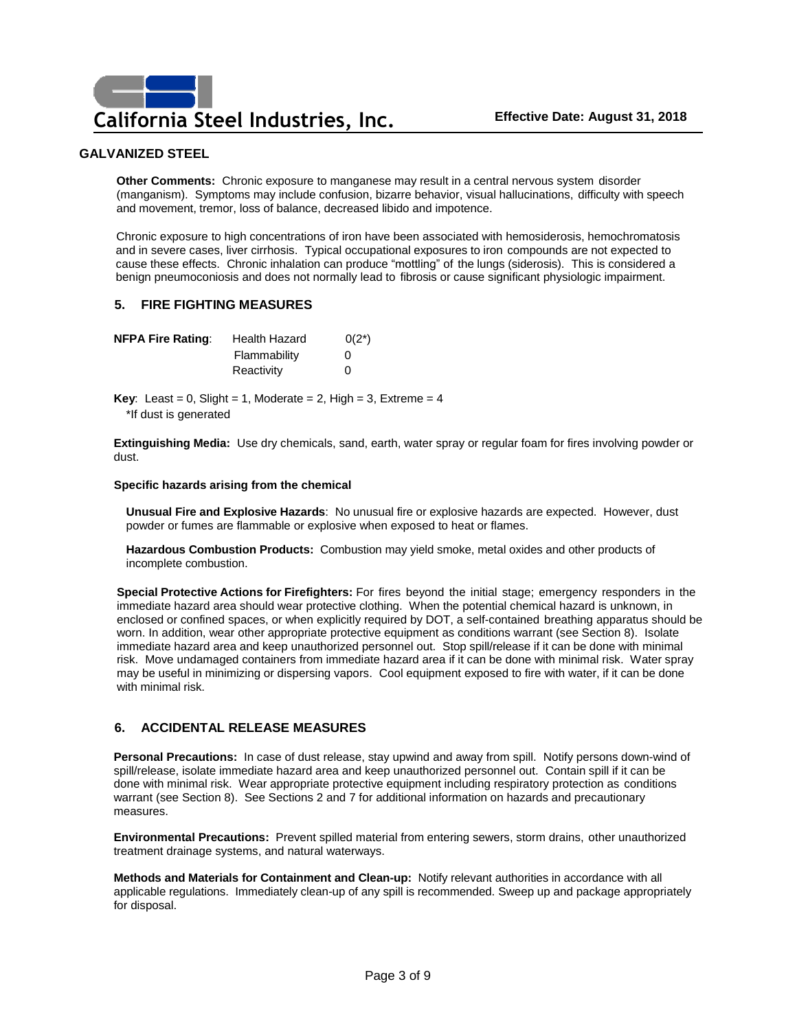**Other Comments:** Chronic exposure to manganese may result in a central nervous system disorder (manganism). Symptoms may include confusion, bizarre behavior, visual hallucinations, difficulty with speech and movement, tremor, loss of balance, decreased libido and impotence.

Chronic exposure to high concentrations of iron have been associated with hemosiderosis, hemochromatosis and in severe cases, liver cirrhosis. Typical occupational exposures to iron compounds are not expected to cause these effects. Chronic inhalation can produce "mottling" of the lungs (siderosis). This is considered a benign pneumoconiosis and does not normally lead to fibrosis or cause significant physiologic impairment.

### **5. FIRE FIGHTING MEASURES**

| <b>NFPA Fire Rating:</b> | <b>Health Hazard</b> | $0(2^*)$ |
|--------------------------|----------------------|----------|
|                          | Flammability         | O        |
|                          | Reactivity           | 0        |

**Key**: Least =  $0$ , Slight =  $1$ , Moderate =  $2$ , High =  $3$ , Extreme =  $4$ \*If dust is generated

**Extinguishing Media:** Use dry chemicals, sand, earth, water spray or regular foam for fires involving powder or dust.

### **Specific hazards arising from the chemical**

**Unusual Fire and Explosive Hazards**: No unusual fire or explosive hazards are expected. However, dust powder or fumes are flammable or explosive when exposed to heat or flames.

**Hazardous Combustion Products:** Combustion may yield smoke, metal oxides and other products of incomplete combustion.

**Special Protective Actions for Firefighters:** For fires beyond the initial stage; emergency responders in the immediate hazard area should wear protective clothing. When the potential chemical hazard is unknown, in enclosed or confined spaces, or when explicitly required by DOT, a self-contained breathing apparatus should be worn. In addition, wear other appropriate protective equipment as conditions warrant (see Section 8). Isolate immediate hazard area and keep unauthorized personnel out. Stop spill/release if it can be done with minimal risk. Move undamaged containers from immediate hazard area if it can be done with minimal risk. Water spray may be useful in minimizing or dispersing vapors. Cool equipment exposed to fire with water, if it can be done with minimal risk.

### **6. ACCIDENTAL RELEASE MEASURES**

**Personal Precautions:** In case of dust release, stay upwind and away from spill. Notify persons down-wind of spill/release, isolate immediate hazard area and keep unauthorized personnel out. Contain spill if it can be done with minimal risk. Wear appropriate protective equipment including respiratory protection as conditions warrant (see Section 8). See Sections 2 and 7 for additional information on hazards and precautionary measures.

**Environmental Precautions:** Prevent spilled material from entering sewers, storm drains, other unauthorized treatment drainage systems, and natural waterways.

**Methods and Materials for Containment and Clean-up:** Notify relevant authorities in accordance with all applicable regulations. Immediately clean-up of any spill is recommended. Sweep up and package appropriately for disposal.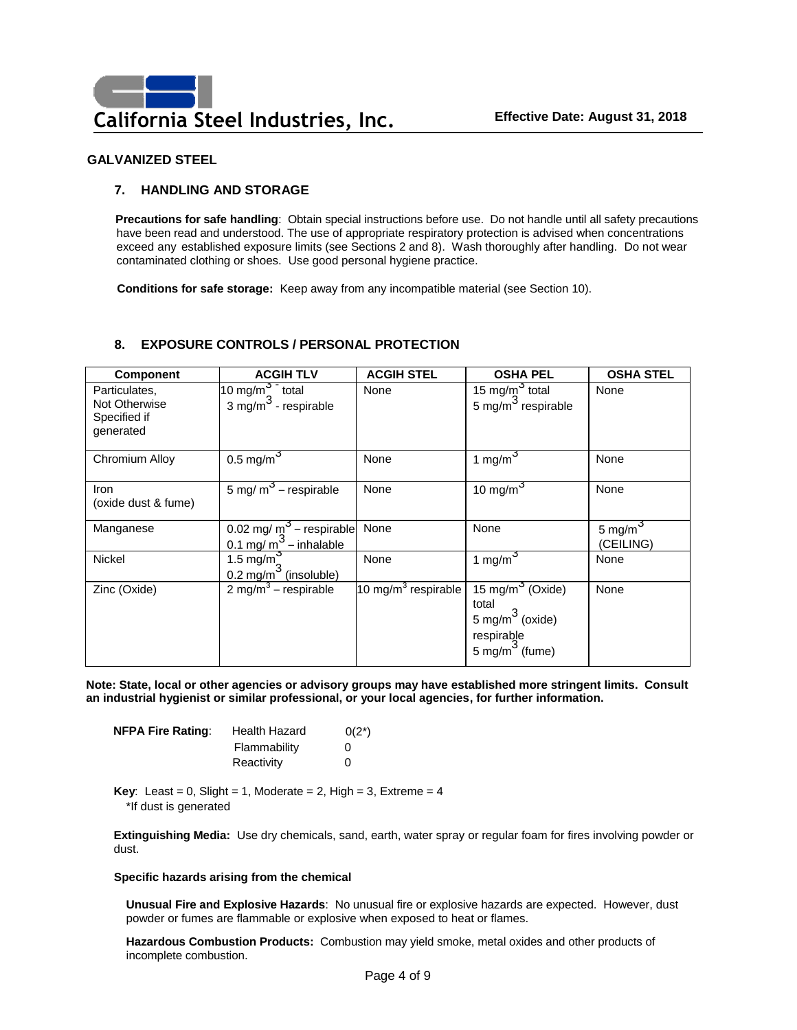# **7. HANDLING AND STORAGE**

**Precautions for safe handling**: Obtain special instructions before use. Do not handle until all safety precautions have been read and understood. The use of appropriate respiratory protection is advised when concentrations exceed any established exposure limits (see Sections 2 and 8). Wash thoroughly after handling. Do not wear contaminated clothing or shoes. Use good personal hygiene practice.

**Conditions for safe storage:** Keep away from any incompatible material (see Section 10).

# **8. EXPOSURE CONTROLS / PERSONAL PROTECTION**

| <b>Component</b>                                            | <b>ACGIH TLV</b>                                               | <b>ACGIH STEL</b>              | <b>OSHA PEL</b>                                                                                                 | <b>OSHA STEL</b>        |
|-------------------------------------------------------------|----------------------------------------------------------------|--------------------------------|-----------------------------------------------------------------------------------------------------------------|-------------------------|
| Particulates.<br>Not Otherwise<br>Specified if<br>generated | 10 mg/m <sup>3</sup> total<br>3 mg/m <sup>3</sup> - respirable | None                           | 15 mg/m <sup>3</sup> total<br>5 mg/m <sup>3</sup> respirable                                                    | None                    |
| Chromium Alloy                                              | $0.5 \text{ mg/m}^3$                                           | None                           | 1 mg/m $^{\circ}$                                                                                               | None                    |
| <b>Iron</b><br>(oxide dust & fume)                          | 5 mg/ $m^3$ – respirable                                       | None                           | 10 mg/m $3$                                                                                                     | None                    |
| Manganese                                                   | 0.02 mg/ $m^3$ – respirable<br>$0.1 \text{ mg/m}$ – inhalable  | None                           | None                                                                                                            | 5 mg/m $3$<br>(CEILING) |
| <b>Nickel</b>                                               | 1.5 mg/m<br>0.2 mg/m $^3$ (insoluble)                          | None                           | 1 mg/m $3$                                                                                                      | None                    |
| Zinc (Oxide)                                                | 2 mg/m <sup>3</sup> – respirable                               | $10 \text{ mg/m}^3$ respirable | 15 mg/m <sup>3</sup> (Oxide)<br>total<br>$5 \text{ mg/m}^3$ (oxide)<br>respirable<br>5 mg/m <sup>3</sup> (fume) | None                    |

**Note: State, local or other agencies or advisory groups may have established more stringent limits. Consult an industrial hygienist or similar professional, or your local agencies, for further information.**

| <b>NFPA Fire Rating:</b> | Health Hazard | $0(2^*)$ |
|--------------------------|---------------|----------|
|                          | Flammability  | 0        |
|                          | Reactivity    | 0        |

**Key**: Least =  $0$ , Slight =  $1$ , Moderate =  $2$ , High =  $3$ , Extreme =  $4$ \*If dust is generated

**Extinguishing Media:** Use dry chemicals, sand, earth, water spray or regular foam for fires involving powder or dust.

### **Specific hazards arising from the chemical**

**Unusual Fire and Explosive Hazards**: No unusual fire or explosive hazards are expected. However, dust powder or fumes are flammable or explosive when exposed to heat or flames.

**Hazardous Combustion Products:** Combustion may yield smoke, metal oxides and other products of incomplete combustion.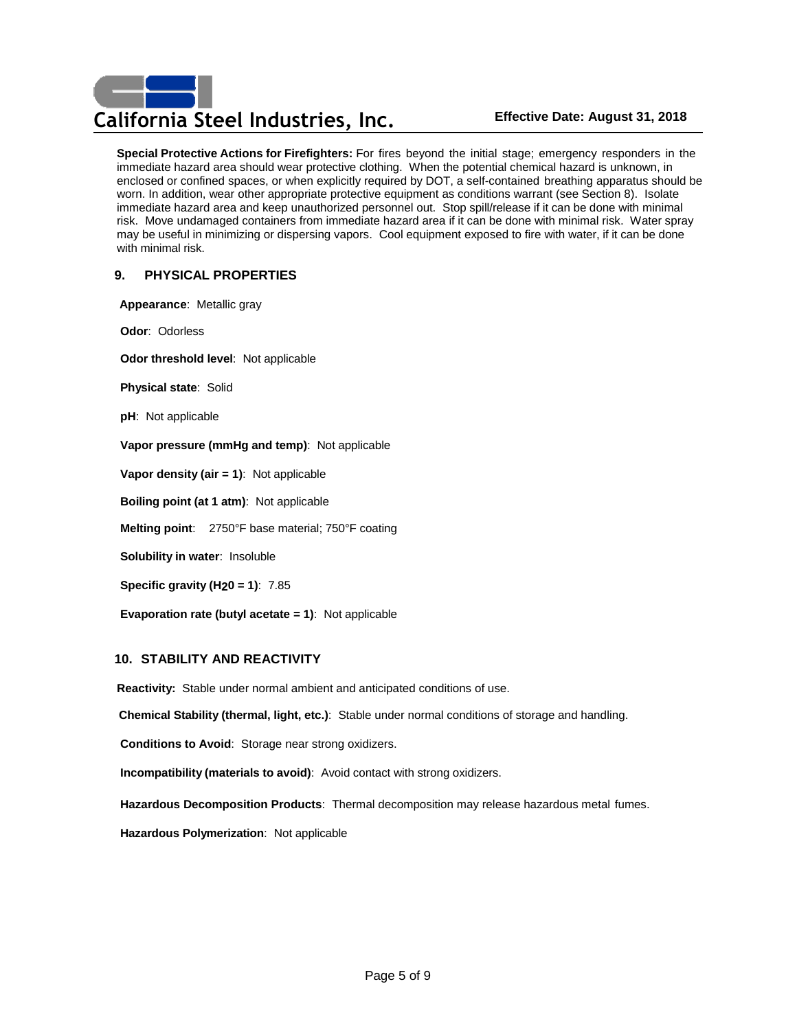# **California Steel Industries, Inc. Effective Date: August 31, 2018**

**Special Protective Actions for Firefighters:** For fires beyond the initial stage; emergency responders in the immediate hazard area should wear protective clothing. When the potential chemical hazard is unknown, in enclosed or confined spaces, or when explicitly required by DOT, a self-contained breathing apparatus should be worn. In addition, wear other appropriate protective equipment as conditions warrant (see Section 8). Isolate immediate hazard area and keep unauthorized personnel out. Stop spill/release if it can be done with minimal risk. Move undamaged containers from immediate hazard area if it can be done with minimal risk. Water spray may be useful in minimizing or dispersing vapors. Cool equipment exposed to fire with water, if it can be done with minimal risk.

# **9. PHYSICAL PROPERTIES**

**Appearance**: Metallic gray

**Odor**: Odorless

**Odor threshold level**: Not applicable

**Physical state**: Solid

**pH**: Not applicable

**Vapor pressure (mmHg and temp)**: Not applicable

**Vapor density (air = 1)**: Not applicable

**Boiling point (at 1 atm)**: Not applicable

**Melting point**: 2750°F base material; 750°F coating

**Solubility in water**: Insoluble

**Specific gravity (H20 = 1)**: 7.85

**Evaporation rate (butyl acetate = 1)**: Not applicable

### **10. STABILITY AND REACTIVITY**

**Reactivity:** Stable under normal ambient and anticipated conditions of use.

**Chemical Stability (thermal, light, etc.)**: Stable under normal conditions of storage and handling.

**Conditions to Avoid**: Storage near strong oxidizers.

**Incompatibility (materials to avoid)**: Avoid contact with strong oxidizers.

 **Hazardous Decomposition Products**: Thermal decomposition may release hazardous metal fumes.

 **Hazardous Polymerization**: Not applicable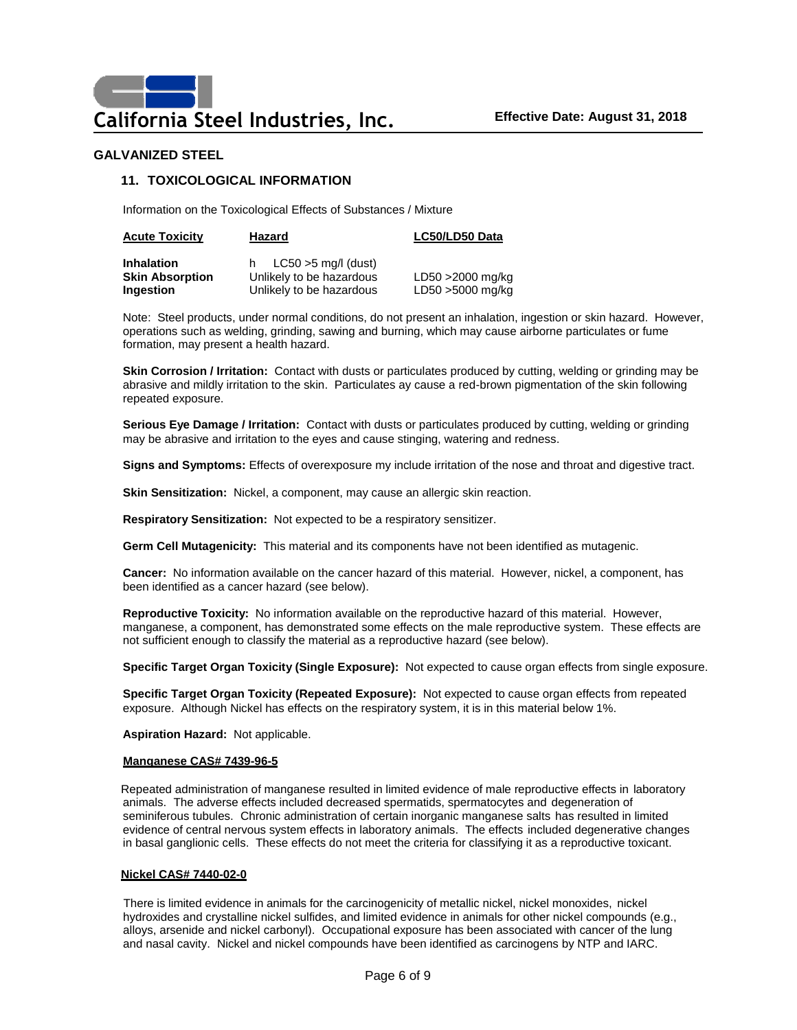### **11. TOXICOLOGICAL INFORMATION**

Information on the Toxicological Effects of Substances / Mixture

| <b>Acute Toxicity</b>                                    | Hazard                                                                               | LC50/LD50 Data                       |
|----------------------------------------------------------|--------------------------------------------------------------------------------------|--------------------------------------|
| <b>Inhalation</b><br><b>Skin Absorption</b><br>Ingestion | $LC50 > 5$ mg/l (dust)<br>h.<br>Unlikely to be hazardous<br>Unlikely to be hazardous | LD50 >2000 mg/kg<br>LD50 >5000 mg/kg |

Note: Steel products, under normal conditions, do not present an inhalation, ingestion or skin hazard. However, operations such as welding, grinding, sawing and burning, which may cause airborne particulates or fume formation, may present a health hazard.

**Skin Corrosion / Irritation:** Contact with dusts or particulates produced by cutting, welding or grinding may be abrasive and mildly irritation to the skin. Particulates ay cause a red-brown pigmentation of the skin following repeated exposure.

**Serious Eye Damage / Irritation:** Contact with dusts or particulates produced by cutting, welding or grinding may be abrasive and irritation to the eyes and cause stinging, watering and redness.

**Signs and Symptoms:** Effects of overexposure my include irritation of the nose and throat and digestive tract.

**Skin Sensitization:** Nickel, a component, may cause an allergic skin reaction.

**Respiratory Sensitization:** Not expected to be a respiratory sensitizer.

**Germ Cell Mutagenicity:** This material and its components have not been identified as mutagenic.

**Cancer:** No information available on the cancer hazard of this material. However, nickel, a component, has been identified as a cancer hazard (see below).

**Reproductive Toxicity:** No information available on the reproductive hazard of this material. However, manganese, a component, has demonstrated some effects on the male reproductive system. These effects are not sufficient enough to classify the material as a reproductive hazard (see below).

**Specific Target Organ Toxicity (Single Exposure):** Not expected to cause organ effects from single exposure.

**Specific Target Organ Toxicity (Repeated Exposure):** Not expected to cause organ effects from repeated exposure. Although Nickel has effects on the respiratory system, it is in this material below 1%.

**Aspiration Hazard:** Not applicable.

### **Manganese CAS# 7439-96-5**

Repeated administration of manganese resulted in limited evidence of male reproductive effects in laboratory animals. The adverse effects included decreased spermatids, spermatocytes and degeneration of seminiferous tubules. Chronic administration of certain inorganic manganese salts has resulted in limited evidence of central nervous system effects in laboratory animals. The effects included degenerative changes in basal ganglionic cells. These effects do not meet the criteria for classifying it as a reproductive toxicant.

### **Nickel CAS# 7440-02-0**

There is limited evidence in animals for the carcinogenicity of metallic nickel, nickel monoxides, nickel hydroxides and crystalline nickel sulfides, and limited evidence in animals for other nickel compounds (e.g., alloys, arsenide and nickel carbonyl). Occupational exposure has been associated with cancer of the lung and nasal cavity. Nickel and nickel compounds have been identified as carcinogens by NTP and IARC.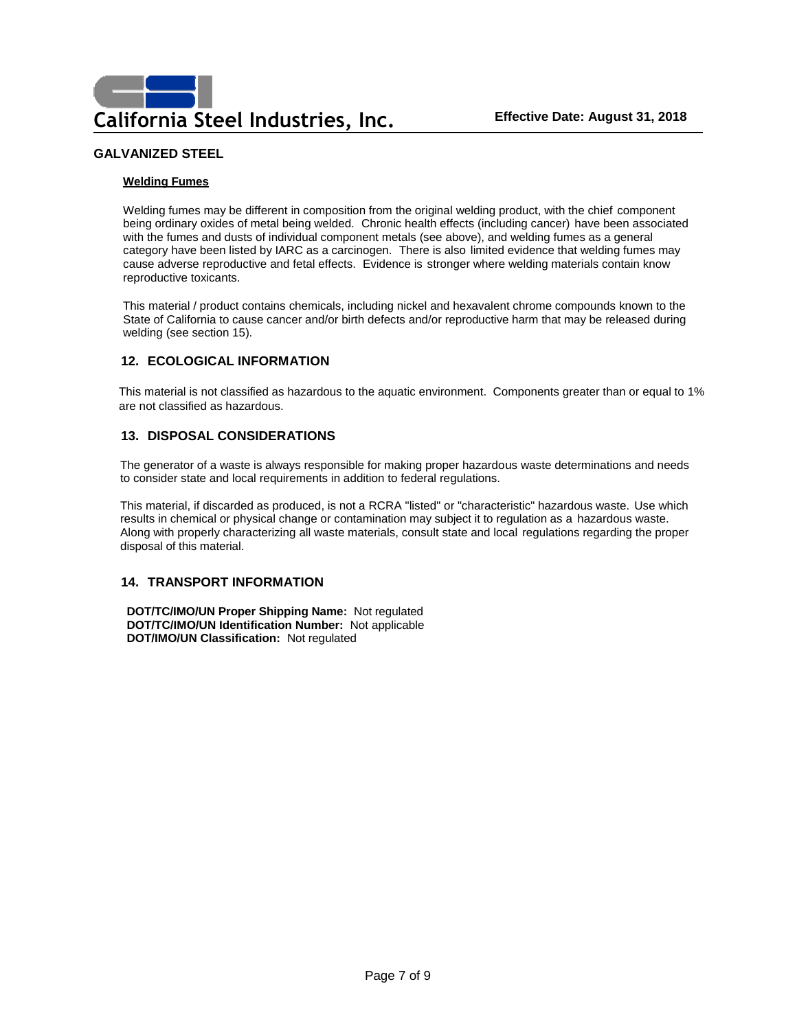### **Welding Fumes**

Welding fumes may be different in composition from the original welding product, with the chief component being ordinary oxides of metal being welded. Chronic health effects (including cancer) have been associated with the fumes and dusts of individual component metals (see above), and welding fumes as a general category have been listed by IARC as a carcinogen. There is also limited evidence that welding fumes may cause adverse reproductive and fetal effects. Evidence is stronger where welding materials contain know reproductive toxicants.

This material / product contains chemicals, including nickel and hexavalent chrome compounds known to the State of California to cause cancer and/or birth defects and/or reproductive harm that may be released during welding (see section 15).

# **12. ECOLOGICAL INFORMATION**

This material is not classified as hazardous to the aquatic environment. Components greater than or equal to 1% are not classified as hazardous.

### **13. DISPOSAL CONSIDERATIONS**

The generator of a waste is always responsible for making proper hazardous waste determinations and needs to consider state and local requirements in addition to federal regulations.

This material, if discarded as produced, is not a RCRA "listed" or "characteristic" hazardous waste. Use which results in chemical or physical change or contamination may subject it to regulation as a hazardous waste. Along with properly characterizing all waste materials, consult state and local regulations regarding the proper disposal of this material.

# **14. TRANSPORT INFORMATION**

**DOT/TC/IMO/UN Proper Shipping Name:** Not regulated **DOT/TC/IMO/UN Identification Number:** Not applicable **DOT/IMO/UN Classification:** Not regulated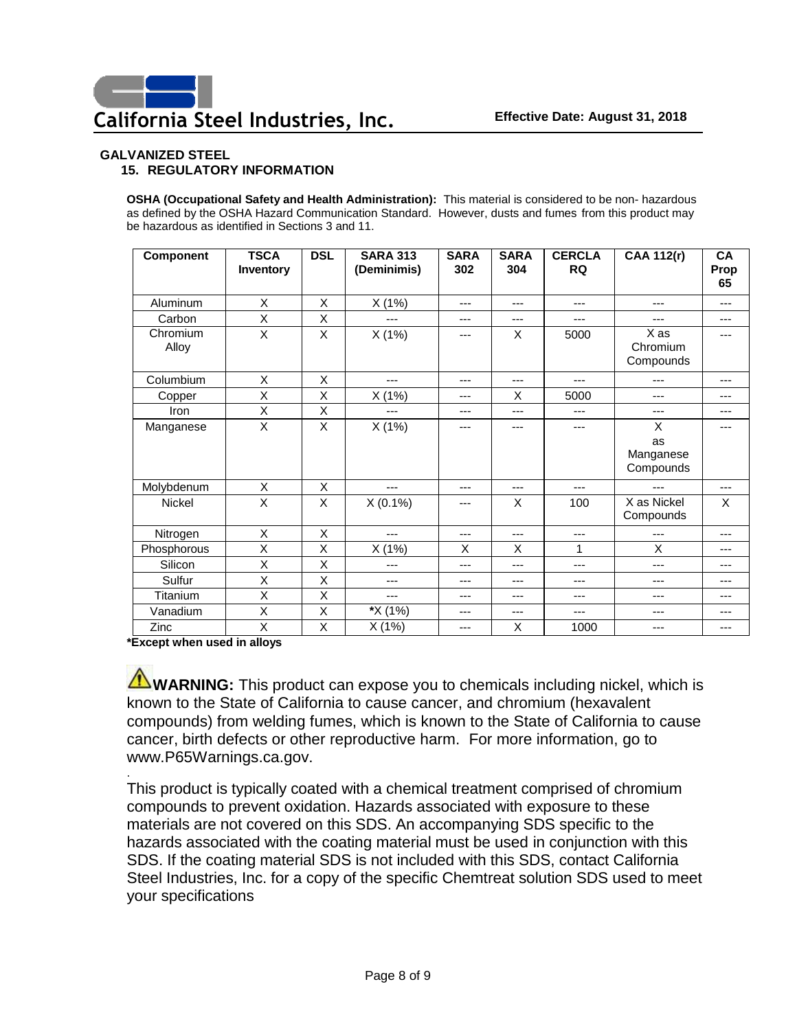# **GALVANIZED STEEL 15. REGULATORY INFORMATION**

**OSHA (Occupational Safety and Health Administration):** This material is considered to be non- hazardous as defined by the OSHA Hazard Communication Standard. However, dusts and fumes from this product may be hazardous as identified in Sections 3 and 11.

| Component         | <b>TSCA</b><br>Inventory | <b>DSL</b> | <b>SARA 313</b><br>(Deminimis) | <b>SARA</b><br>302 | <b>SARA</b><br>304 | <b>CERCLA</b><br><b>RQ</b> | <b>CAA 112(r)</b>                 | CA<br>Prop<br>65 |
|-------------------|--------------------------|------------|--------------------------------|--------------------|--------------------|----------------------------|-----------------------------------|------------------|
| Aluminum          | X                        | X          | X(1%)                          | ---                | ---                | ---                        | ---                               | ---              |
| Carbon            | X                        | X          | ---                            | ---                | ---                | ---                        |                                   | ---              |
| Chromium<br>Alloy | X                        | X          | X(1%)                          | ---                | X                  | 5000                       | X as<br>Chromium<br>Compounds     | ---              |
| Columbium         | X                        | X          | ---                            | ---                | ---                | ---                        | ---                               | ---              |
| Copper            | X                        | X          | X(1%)                          | ---                | X                  | 5000                       | ---                               | ---              |
| Iron              | X                        | X          | ---                            | ---                | ---                | ---                        | ---                               | ---              |
| Manganese         | X                        | X          | X(1%)                          | ---                | ---                | ---                        | X<br>as<br>Manganese<br>Compounds | ---              |
| Molybdenum        | X                        | X          | ---                            | ---                | ---                | ---                        | ---                               | ---              |
| Nickel            | X                        | X          | $X(0.1\%)$                     | ---                | X                  | 100                        | X as Nickel<br>Compounds          | X                |
| Nitrogen          | X                        | X          | ---                            | ---                | ---                | ---                        | ---                               | ---              |
| Phosphorous       | X                        | X          | X(1%)                          | X                  | X                  | 1                          | X                                 | ---              |
| Silicon           | X                        | X          | ---                            | ---                | ---                | ---                        | ---                               | ---              |
| Sulfur            | X                        | X          | ---                            | ---                | ---                | ---                        | ---                               | ---              |
| Titanium          | X                        | X          | ---                            | ---                | ---                | ---                        | ---                               | ---              |
| Vanadium          | X                        | X          | *X (1%)                        | ---                | ---                | ---                        | ---                               | ---              |
| Zinc              | X                        | X          | X(1%)                          | ---                | X                  | 1000                       | ---                               | ---              |

**\*Except when used in alloys**

.

**WARNING:** This product can expose you to chemicals including nickel, which is known to the State of California to cause cancer, and chromium (hexavalent compounds) from welding fumes, which is known to the State of California to cause cancer, birth defects or other reproductive harm. For more information, go to www.P65Warnings.ca.gov.

This product is typically coated with a chemical treatment comprised of chromium compounds to prevent oxidation. Hazards associated with exposure to these materials are not covered on this SDS. An accompanying SDS specific to the hazards associated with the coating material must be used in conjunction with this SDS. If the coating material SDS is not included with this SDS, contact California Steel Industries, Inc. for a copy of the specific Chemtreat solution SDS used to meet your specifications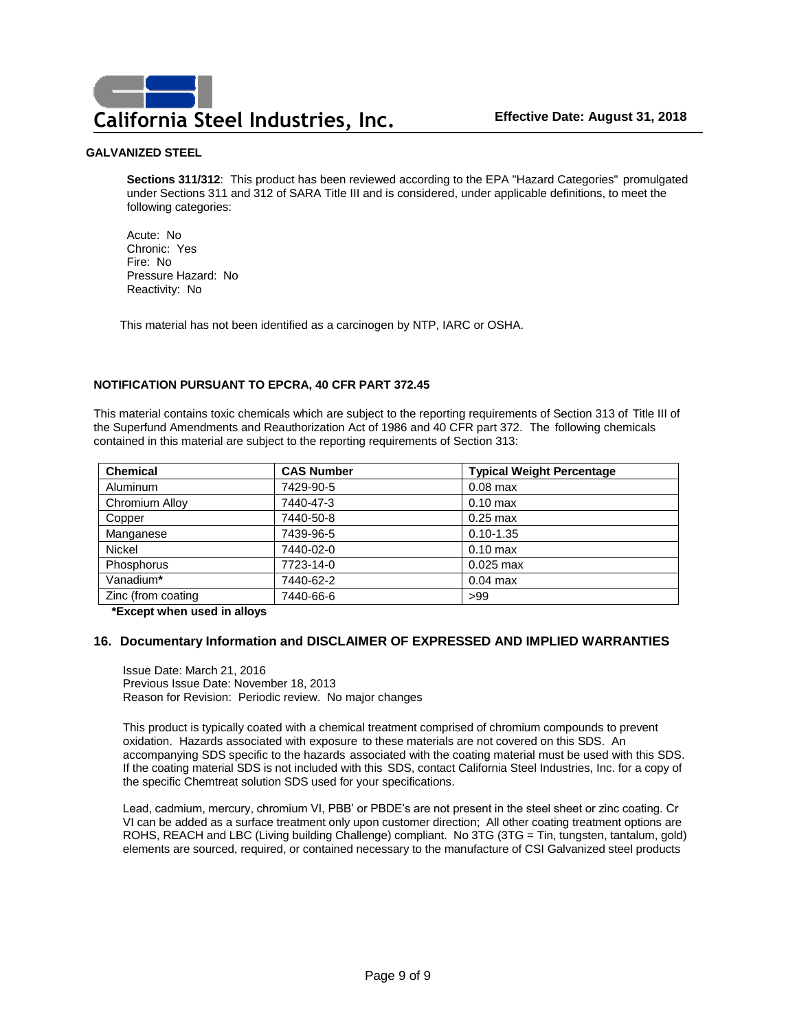**Sections 311/312**: This product has been reviewed according to the EPA "Hazard Categories" promulgated under Sections 311 and 312 of SARA Title III and is considered, under applicable definitions, to meet the following categories:

Acute: No Chronic: Yes Fire: No Pressure Hazard: No Reactivity: No

This material has not been identified as a carcinogen by NTP, IARC or OSHA.

### **NOTIFICATION PURSUANT TO EPCRA, 40 CFR PART 372.45**

This material contains toxic chemicals which are subject to the reporting requirements of Section 313 of Title III of the Superfund Amendments and Reauthorization Act of 1986 and 40 CFR part 372. The following chemicals contained in this material are subject to the reporting requirements of Section 313:

| <b>Chemical</b>    | <b>CAS Number</b> | <b>Typical Weight Percentage</b> |
|--------------------|-------------------|----------------------------------|
| Aluminum           | 7429-90-5         | $0.08$ max                       |
| Chromium Alloy     | 7440-47-3         | $0.10$ max                       |
| Copper             | 7440-50-8         | $0.25$ max                       |
| Manganese          | 7439-96-5         | $0.10 - 1.35$                    |
| <b>Nickel</b>      | 7440-02-0         | $0.10$ max                       |
| Phosphorus         | 7723-14-0         | $0.025$ max                      |
| Vanadium*          | 7440-62-2         | $0.04$ max                       |
| Zinc (from coating | 7440-66-6         | >99                              |

**\*Except when used in alloys**

### **16. Documentary Information and DISCLAIMER OF EXPRESSED AND IMPLIED WARRANTIES**

Issue Date: March 21, 2016 Previous Issue Date: November 18, 2013 Reason for Revision: Periodic review. No major changes

This product is typically coated with a chemical treatment comprised of chromium compounds to prevent oxidation. Hazards associated with exposure to these materials are not covered on this SDS. An accompanying SDS specific to the hazards associated with the coating material must be used with this SDS. If the coating material SDS is not included with this SDS, contact California Steel Industries, Inc. for a copy of the specific Chemtreat solution SDS used for your specifications.

Lead, cadmium, mercury, chromium VI, PBB' or PBDE's are not present in the steel sheet or zinc coating. Cr VI can be added as a surface treatment only upon customer direction; All other coating treatment options are ROHS, REACH and LBC (Living building Challenge) compliant. No 3TG (3TG = Tin, tungsten, tantalum, gold) elements are sourced, required, or contained necessary to the manufacture of CSI Galvanized steel products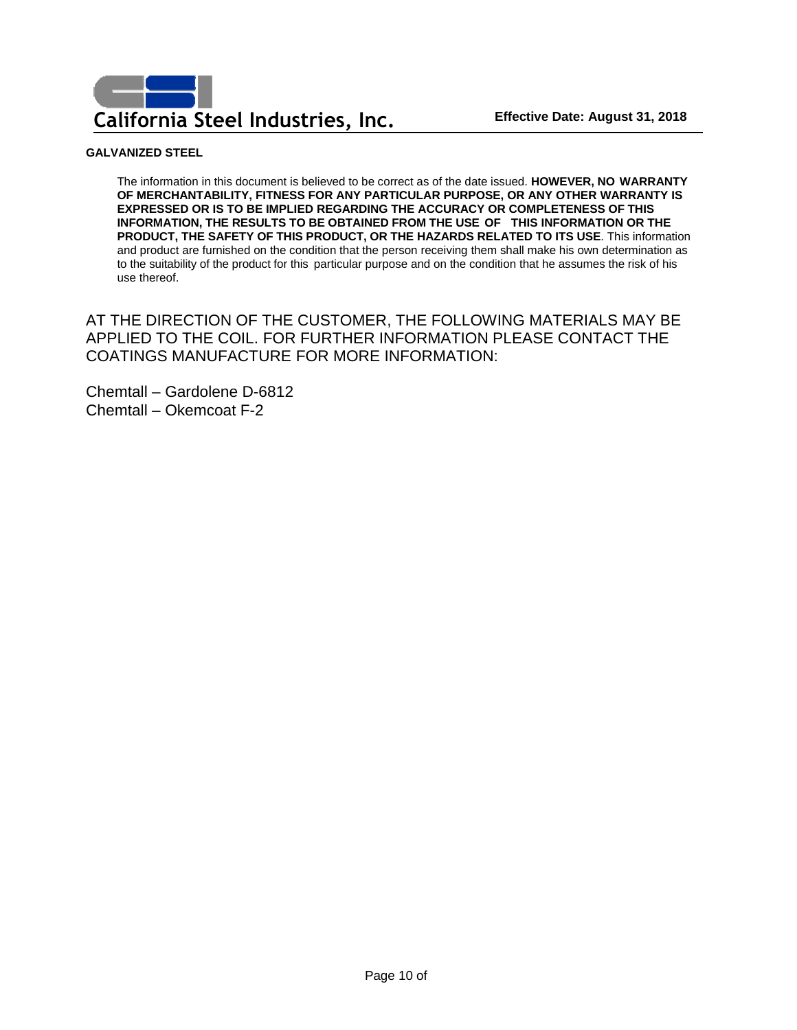

The information in this document is believed to be correct as of the date issued. **HOWEVER, NO WARRANTY OF MERCHANTABILITY, FITNESS FOR ANY PARTICULAR PURPOSE, OR ANY OTHER WARRANTY IS EXPRESSED OR IS TO BE IMPLIED REGARDING THE ACCURACY OR COMPLETENESS OF THIS INFORMATION, THE RESULTS TO BE OBTAINED FROM THE USE OF THIS INFORMATION OR THE PRODUCT, THE SAFETY OF THIS PRODUCT, OR THE HAZARDS RELATED TO ITS USE**. This information and product are furnished on the condition that the person receiving them shall make his own determination as to the suitability of the product for this particular purpose and on the condition that he assumes the risk of his use thereof.

AT THE DIRECTION OF THE CUSTOMER, THE FOLLOWING MATERIALS MAY BE APPLIED TO THE COIL. FOR FURTHER INFORMATION PLEASE CONTACT THE COATINGS MANUFACTURE FOR MORE INFORMATION:

Chemtall – Gardolene D-6812 Chemtall – Okemcoat F-2